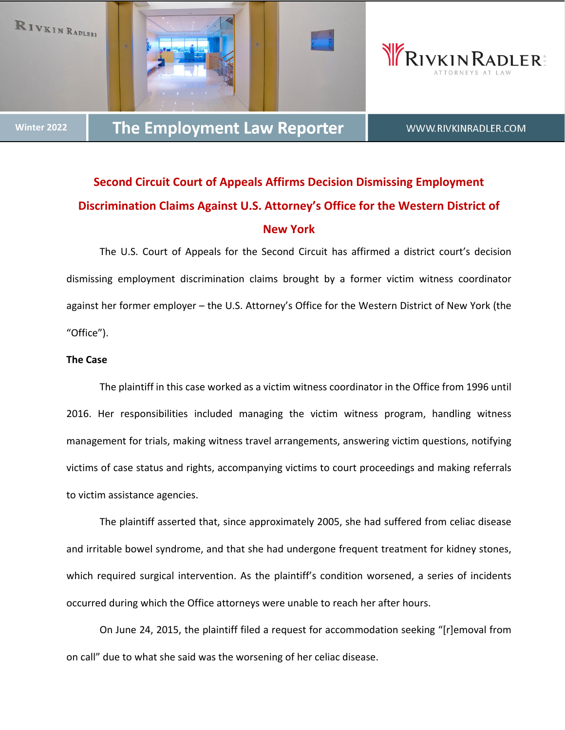





**Winter 2022**

WWW.RIVKINRADLER.COM

# **Second Circuit Court of Appeals Affirms Decision Dismissing Employment Discrimination Claims Against U.S. Attorney's Office for the Western District of New York**

The U.S. Court of Appeals for the Second Circuit has affirmed a district court's decision dismissing employment discrimination claims brought by a former victim witness coordinator against her former employer – the U.S. Attorney's Office for the Western District of New York (the "Office").

### **The Case**

The plaintiff in this case worked as a victim witness coordinator in the Office from 1996 until 2016. Her responsibilities included managing the victim witness program, handling witness management for trials, making witness travel arrangements, answering victim questions, notifying victims of case status and rights, accompanying victims to court proceedings and making referrals to victim assistance agencies.

The plaintiff asserted that, since approximately 2005, she had suffered from celiac disease and irritable bowel syndrome, and that she had undergone frequent treatment for kidney stones, which required surgical intervention. As the plaintiff's condition worsened, a series of incidents occurred during which the Office attorneys were unable to reach her after hours.

On June 24, 2015, the plaintiff filed a request for accommodation seeking "[r]emoval from on call" due to what she said was the worsening of her celiac disease.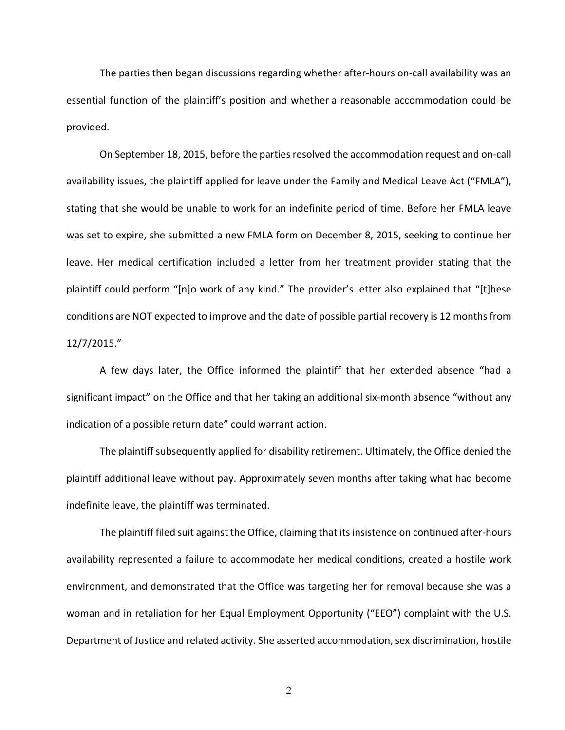The parties then began discussions regarding whether after‐hours on‐call availability was an essential function of the plaintiff's position and whether a reasonable accommodation could be provided.

On September 18, 2015, before the parties resolved the accommodation request and on-call availability issues, the plaintiff applied for leave under the Family and Medical Leave Act ("FMLA"), stating that she would be unable to work for an indefinite period of time. Before her FMLA leave was set to expire, she submitted a new FMLA form on December 8, 2015, seeking to continue her leave. Her medical certification included a letter from her treatment provider stating that the plaintiff could perform "[n]o work of any kind." The provider's letter also explained that "[t]hese conditions are NOT expected to improve and the date of possible partial recovery is 12 months from 12/7/2015."

A few days later, the Office informed the plaintiff that her extended absence "had a significant impact" on the Office and that her taking an additional six-month absence "without any indication of a possible return date" could warrant action.

The plaintiff subsequently applied for disability retirement. Ultimately, the Office denied the plaintiff additional leave without pay. Approximately seven months after taking what had become indefinite leave, the plaintiff was terminated.

The plaintiff filed suit against the Office, claiming that its insistence on continued after-hours availability represented a failure to accommodate her medical conditions, created a hostile work environment, and demonstrated that the Office was targeting her for removal because she was a woman and in retaliation for her Equal Employment Opportunity ("EEO") complaint with the U.S. Department of Justice and related activity. She asserted accommodation, sex discrimination, hostile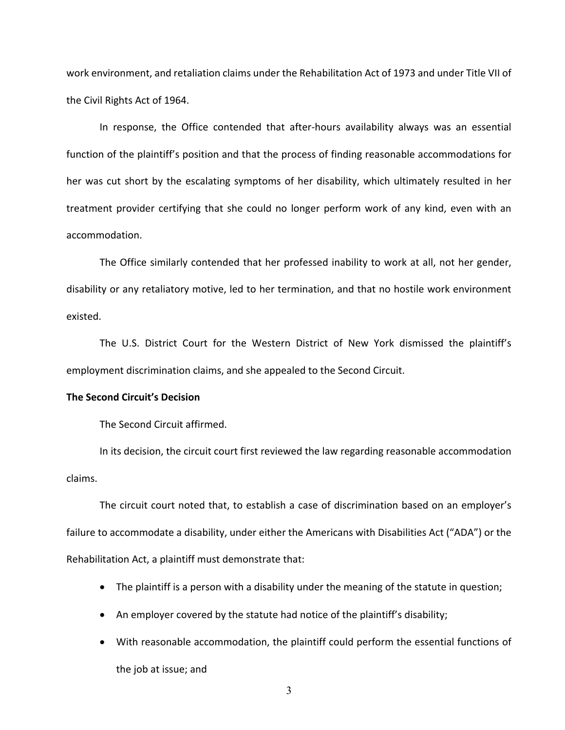work environment, and retaliation claims under the Rehabilitation Act of 1973 and under Title VII of the Civil Rights Act of 1964.

In response, the Office contended that after-hours availability always was an essential function of the plaintiff's position and that the process of finding reasonable accommodations for her was cut short by the escalating symptoms of her disability, which ultimately resulted in her treatment provider certifying that she could no longer perform work of any kind, even with an accommodation.

The Office similarly contended that her professed inability to work at all, not her gender, disability or any retaliatory motive, led to her termination, and that no hostile work environment existed.

The U.S. District Court for the Western District of New York dismissed the plaintiff's employment discrimination claims, and she appealed to the Second Circuit.

#### **The Second Circuit's Decision**

The Second Circuit affirmed.

In its decision, the circuit court first reviewed the law regarding reasonable accommodation claims.

The circuit court noted that, to establish a case of discrimination based on an employer's failure to accommodate a disability, under either the Americans with Disabilities Act ("ADA") or the Rehabilitation Act, a plaintiff must demonstrate that:

- The plaintiff is a person with a disability under the meaning of the statute in question;
- An employer covered by the statute had notice of the plaintiff's disability;
- With reasonable accommodation, the plaintiff could perform the essential functions of the job at issue; and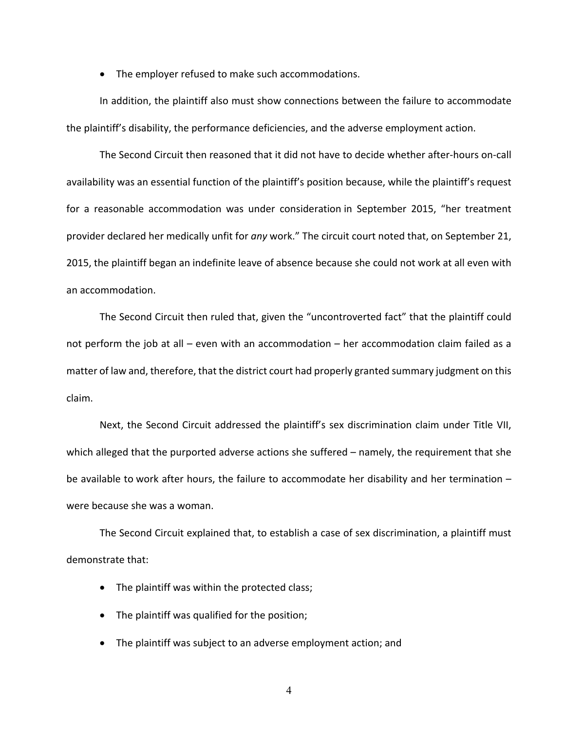• The employer refused to make such accommodations.

In addition, the plaintiff also must show connections between the failure to accommodate the plaintiff's disability, the performance deficiencies, and the adverse employment action.

The Second Circuit then reasoned that it did not have to decide whether after‐hours on‐call availability was an essential function of the plaintiff's position because, while the plaintiff's request for a reasonable accommodation was under consideration in September 2015, "her treatment provider declared her medically unfit for *any* work." The circuit court noted that, on September 21, 2015, the plaintiff began an indefinite leave of absence because she could not work at all even with an accommodation.

The Second Circuit then ruled that, given the "uncontroverted fact" that the plaintiff could not perform the job at all – even with an accommodation – her accommodation claim failed as a matter of law and, therefore, that the district court had properly granted summary judgment on this claim.

Next, the Second Circuit addressed the plaintiff's sex discrimination claim under Title VII, which alleged that the purported adverse actions she suffered – namely, the requirement that she be available to work after hours, the failure to accommodate her disability and her termination – were because she was a woman.

The Second Circuit explained that, to establish a case of sex discrimination, a plaintiff must demonstrate that:

- The plaintiff was within the protected class;
- The plaintiff was qualified for the position;
- The plaintiff was subject to an adverse employment action; and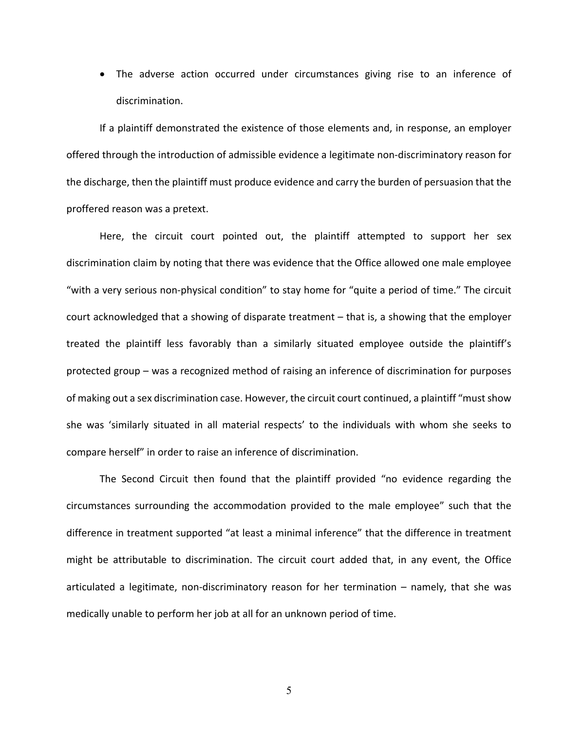The adverse action occurred under circumstances giving rise to an inference of discrimination.

If a plaintiff demonstrated the existence of those elements and, in response, an employer offered through the introduction of admissible evidence a legitimate non‐discriminatory reason for the discharge, then the plaintiff must produce evidence and carry the burden of persuasion that the proffered reason was a pretext.

Here, the circuit court pointed out, the plaintiff attempted to support her sex discrimination claim by noting that there was evidence that the Office allowed one male employee "with a very serious non‐physical condition" to stay home for "quite a period of time." The circuit court acknowledged that a showing of disparate treatment – that is, a showing that the employer treated the plaintiff less favorably than a similarly situated employee outside the plaintiff's protected group – was a recognized method of raising an inference of discrimination for purposes of making out a sex discrimination case. However, the circuit court continued, a plaintiff "must show she was 'similarly situated in all material respects' to the individuals with whom she seeks to compare herself" in order to raise an inference of discrimination.

The Second Circuit then found that the plaintiff provided "no evidence regarding the circumstances surrounding the accommodation provided to the male employee" such that the difference in treatment supported "at least a minimal inference" that the difference in treatment might be attributable to discrimination. The circuit court added that, in any event, the Office articulated a legitimate, non-discriminatory reason for her termination – namely, that she was medically unable to perform her job at all for an unknown period of time.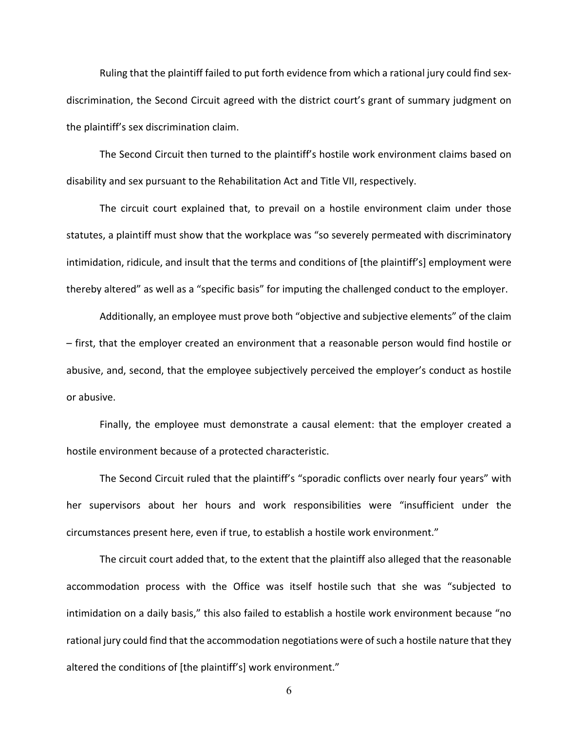Ruling that the plaintiff failed to put forth evidence from which a rational jury could find sex‐ discrimination, the Second Circuit agreed with the district court's grant of summary judgment on the plaintiff's sex discrimination claim.

The Second Circuit then turned to the plaintiff's hostile work environment claims based on disability and sex pursuant to the Rehabilitation Act and Title VII, respectively.

The circuit court explained that, to prevail on a hostile environment claim under those statutes, a plaintiff must show that the workplace was "so severely permeated with discriminatory intimidation, ridicule, and insult that the terms and conditions of [the plaintiff's] employment were thereby altered" as well as a "specific basis" for imputing the challenged conduct to the employer.

Additionally, an employee must prove both "objective and subjective elements" of the claim – first, that the employer created an environment that a reasonable person would find hostile or abusive, and, second, that the employee subjectively perceived the employer's conduct as hostile or abusive.

Finally, the employee must demonstrate a causal element: that the employer created a hostile environment because of a protected characteristic.

The Second Circuit ruled that the plaintiff's "sporadic conflicts over nearly four years" with her supervisors about her hours and work responsibilities were "insufficient under the circumstances present here, even if true, to establish a hostile work environment."

The circuit court added that, to the extent that the plaintiff also alleged that the reasonable accommodation process with the Office was itself hostile such that she was "subjected to intimidation on a daily basis," this also failed to establish a hostile work environment because "no rational jury could find that the accommodation negotiations were of such a hostile nature that they altered the conditions of [the plaintiff's] work environment."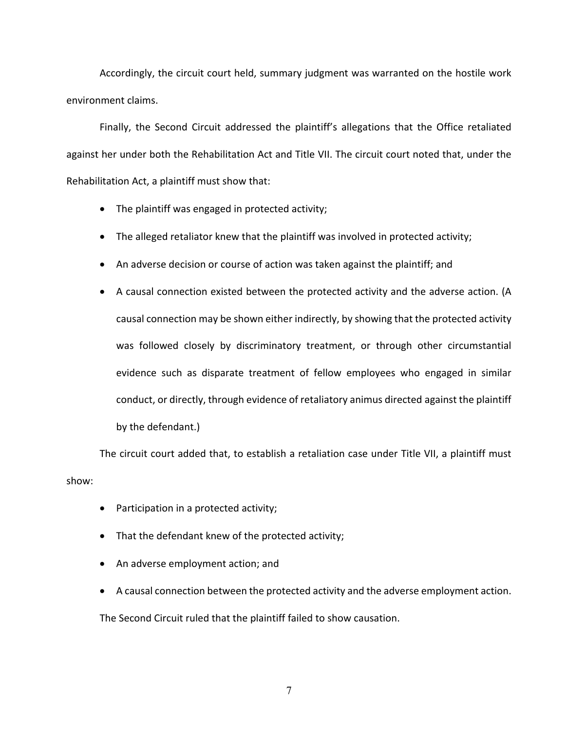Accordingly, the circuit court held, summary judgment was warranted on the hostile work environment claims.

Finally, the Second Circuit addressed the plaintiff's allegations that the Office retaliated against her under both the Rehabilitation Act and Title VII. The circuit court noted that, under the Rehabilitation Act, a plaintiff must show that:

- The plaintiff was engaged in protected activity;
- The alleged retaliator knew that the plaintiff was involved in protected activity;
- An adverse decision or course of action was taken against the plaintiff; and
- A causal connection existed between the protected activity and the adverse action. (A causal connection may be shown either indirectly, by showing that the protected activity was followed closely by discriminatory treatment, or through other circumstantial evidence such as disparate treatment of fellow employees who engaged in similar conduct, or directly, through evidence of retaliatory animus directed against the plaintiff by the defendant.)

The circuit court added that, to establish a retaliation case under Title VII, a plaintiff must show:

- Participation in a protected activity;
- That the defendant knew of the protected activity;
- An adverse employment action; and
- A causal connection between the protected activity and the adverse employment action.

The Second Circuit ruled that the plaintiff failed to show causation.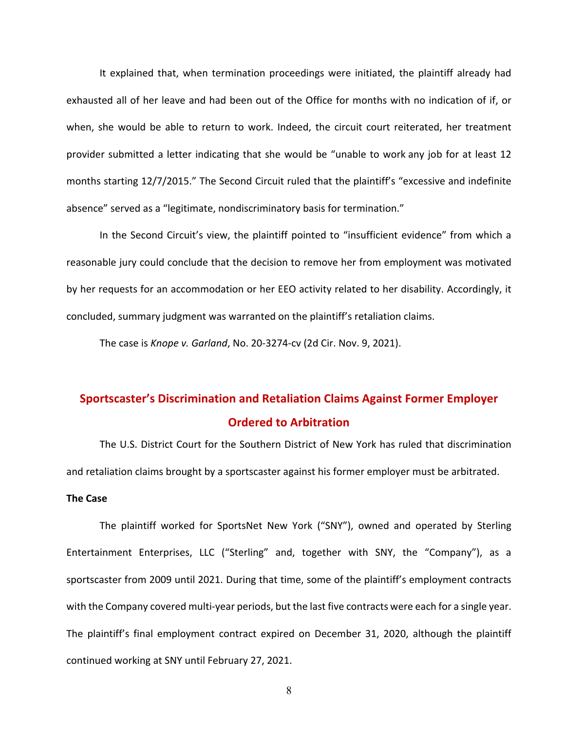It explained that, when termination proceedings were initiated, the plaintiff already had exhausted all of her leave and had been out of the Office for months with no indication of if, or when, she would be able to return to work. Indeed, the circuit court reiterated, her treatment provider submitted a letter indicating that she would be "unable to work any job for at least 12 months starting 12/7/2015." The Second Circuit ruled that the plaintiff's "excessive and indefinite absence" served as a "legitimate, nondiscriminatory basis for termination."

In the Second Circuit's view, the plaintiff pointed to "insufficient evidence" from which a reasonable jury could conclude that the decision to remove her from employment was motivated by her requests for an accommodation or her EEO activity related to her disability. Accordingly, it concluded, summary judgment was warranted on the plaintiff's retaliation claims.

The case is *Knope v. Garland*, No. 20‐3274‐cv (2d Cir. Nov. 9, 2021).

# **Sportscaster's Discrimination and Retaliation Claims Against Former Employer Ordered to Arbitration**

The U.S. District Court for the Southern District of New York has ruled that discrimination and retaliation claims brought by a sportscaster against his former employer must be arbitrated.

## **The Case**

The plaintiff worked for SportsNet New York ("SNY"), owned and operated by Sterling Entertainment Enterprises, LLC ("Sterling" and, together with SNY, the "Company"), as a sportscaster from 2009 until 2021. During that time, some of the plaintiff's employment contracts with the Company covered multi-year periods, but the last five contracts were each for a single year. The plaintiff's final employment contract expired on December 31, 2020, although the plaintiff continued working at SNY until February 27, 2021.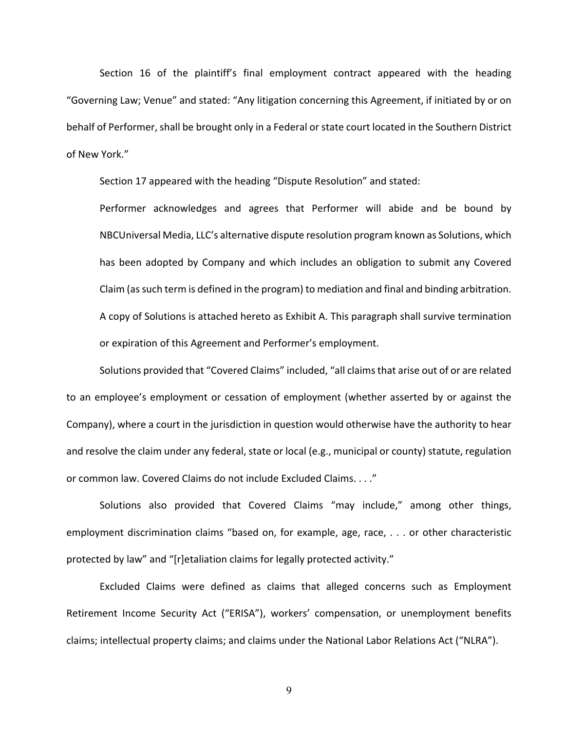Section 16 of the plaintiff's final employment contract appeared with the heading "Governing Law; Venue" and stated: "Any litigation concerning this Agreement, if initiated by or on behalf of Performer, shall be brought only in a Federal or state court located in the Southern District of New York."

Section 17 appeared with the heading "Dispute Resolution" and stated:

Performer acknowledges and agrees that Performer will abide and be bound by NBCUniversal Media, LLC's alternative dispute resolution program known as Solutions, which has been adopted by Company and which includes an obligation to submit any Covered Claim (assuch term is defined in the program) to mediation and final and binding arbitration. A copy of Solutions is attached hereto as Exhibit A. This paragraph shall survive termination or expiration of this Agreement and Performer's employment.

Solutions provided that "Covered Claims" included, "all claims that arise out of or are related to an employee's employment or cessation of employment (whether asserted by or against the Company), where a court in the jurisdiction in question would otherwise have the authority to hear and resolve the claim under any federal, state or local (e.g., municipal or county) statute, regulation or common law. Covered Claims do not include Excluded Claims. . . ."

Solutions also provided that Covered Claims "may include," among other things, employment discrimination claims "based on, for example, age, race, . . . or other characteristic protected by law" and "[r]etaliation claims for legally protected activity."

Excluded Claims were defined as claims that alleged concerns such as Employment Retirement Income Security Act ("ERISA"), workers' compensation, or unemployment benefits claims; intellectual property claims; and claims under the National Labor Relations Act ("NLRA").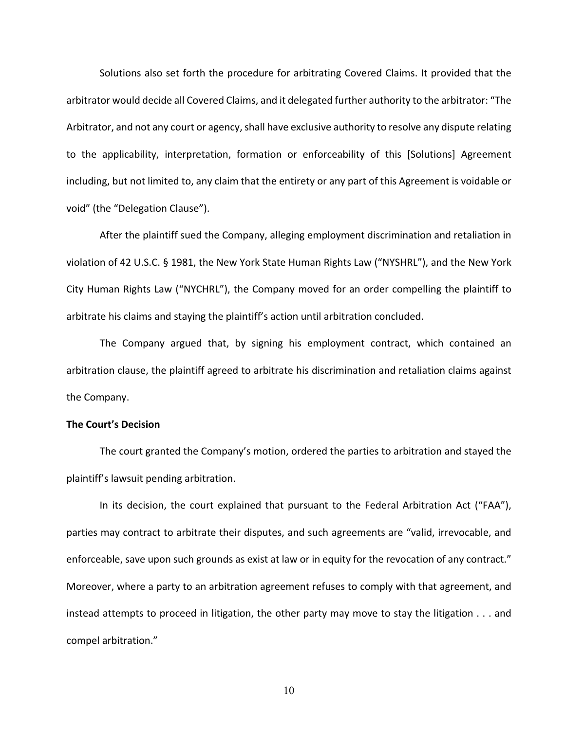Solutions also set forth the procedure for arbitrating Covered Claims. It provided that the arbitrator would decide all Covered Claims, and it delegated further authority to the arbitrator: "The Arbitrator, and not any court or agency, shall have exclusive authority to resolve any dispute relating to the applicability, interpretation, formation or enforceability of this [Solutions] Agreement including, but not limited to, any claim that the entirety or any part of this Agreement is voidable or void" (the "Delegation Clause").

After the plaintiff sued the Company, alleging employment discrimination and retaliation in violation of 42 U.S.C. § 1981, the New York State Human Rights Law ("NYSHRL"), and the New York City Human Rights Law ("NYCHRL"), the Company moved for an order compelling the plaintiff to arbitrate his claims and staying the plaintiff's action until arbitration concluded.

The Company argued that, by signing his employment contract, which contained an arbitration clause, the plaintiff agreed to arbitrate his discrimination and retaliation claims against the Company.

### **The Court's Decision**

The court granted the Company's motion, ordered the parties to arbitration and stayed the plaintiff's lawsuit pending arbitration.

In its decision, the court explained that pursuant to the Federal Arbitration Act ("FAA"), parties may contract to arbitrate their disputes, and such agreements are "valid, irrevocable, and enforceable, save upon such grounds as exist at law or in equity for the revocation of any contract." Moreover, where a party to an arbitration agreement refuses to comply with that agreement, and instead attempts to proceed in litigation, the other party may move to stay the litigation . . . and compel arbitration."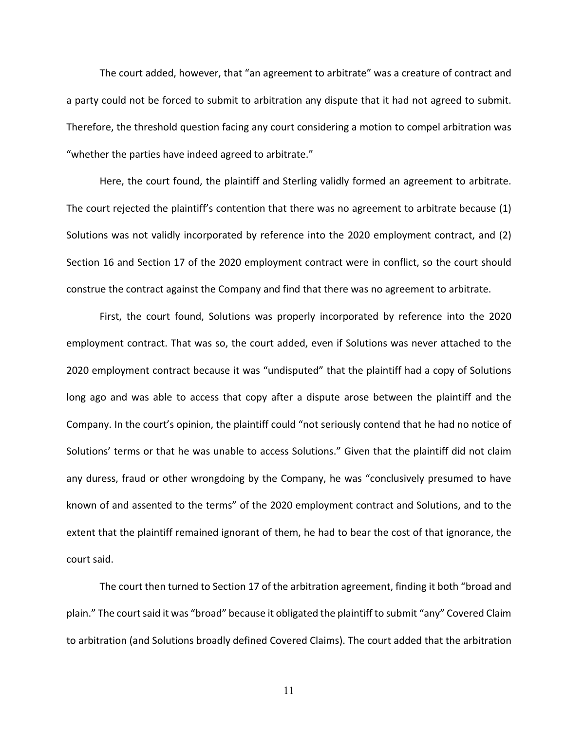The court added, however, that "an agreement to arbitrate" was a creature of contract and a party could not be forced to submit to arbitration any dispute that it had not agreed to submit. Therefore, the threshold question facing any court considering a motion to compel arbitration was "whether the parties have indeed agreed to arbitrate."

Here, the court found, the plaintiff and Sterling validly formed an agreement to arbitrate. The court rejected the plaintiff's contention that there was no agreement to arbitrate because (1) Solutions was not validly incorporated by reference into the 2020 employment contract, and (2) Section 16 and Section 17 of the 2020 employment contract were in conflict, so the court should construe the contract against the Company and find that there was no agreement to arbitrate.

First, the court found, Solutions was properly incorporated by reference into the 2020 employment contract. That was so, the court added, even if Solutions was never attached to the 2020 employment contract because it was "undisputed" that the plaintiff had a copy of Solutions long ago and was able to access that copy after a dispute arose between the plaintiff and the Company. In the court's opinion, the plaintiff could "not seriously contend that he had no notice of Solutions' terms or that he was unable to access Solutions." Given that the plaintiff did not claim any duress, fraud or other wrongdoing by the Company, he was "conclusively presumed to have known of and assented to the terms" of the 2020 employment contract and Solutions, and to the extent that the plaintiff remained ignorant of them, he had to bear the cost of that ignorance, the court said.

The court then turned to Section 17 of the arbitration agreement, finding it both "broad and plain." The court said it was "broad" because it obligated the plaintiff to submit "any" Covered Claim to arbitration (and Solutions broadly defined Covered Claims). The court added that the arbitration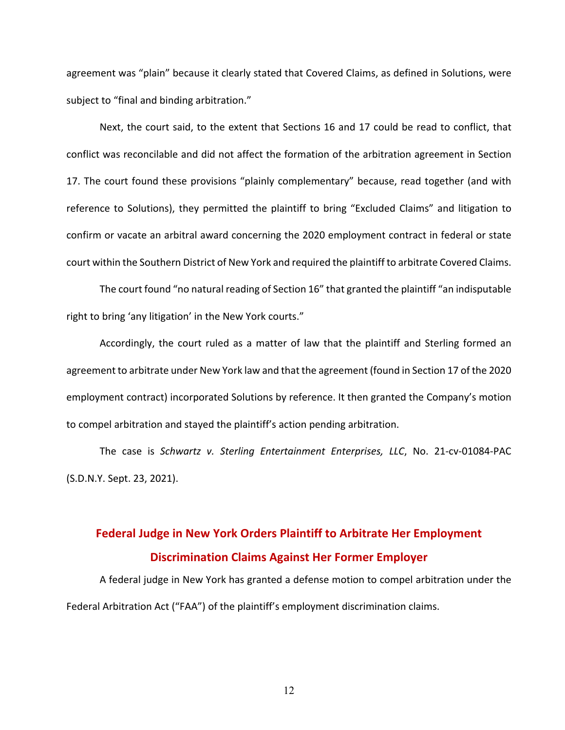agreement was "plain" because it clearly stated that Covered Claims, as defined in Solutions, were subject to "final and binding arbitration."

Next, the court said, to the extent that Sections 16 and 17 could be read to conflict, that conflict was reconcilable and did not affect the formation of the arbitration agreement in Section 17. The court found these provisions "plainly complementary" because, read together (and with reference to Solutions), they permitted the plaintiff to bring "Excluded Claims" and litigation to confirm or vacate an arbitral award concerning the 2020 employment contract in federal or state court within the Southern District of New York and required the plaintiff to arbitrate Covered Claims.

The court found "no natural reading of Section 16" that granted the plaintiff "an indisputable right to bring 'any litigation' in the New York courts."

Accordingly, the court ruled as a matter of law that the plaintiff and Sterling formed an agreement to arbitrate under New York law and that the agreement (found in Section 17 of the 2020 employment contract) incorporated Solutions by reference. It then granted the Company's motion to compel arbitration and stayed the plaintiff's action pending arbitration.

The case is *Schwartz v. Sterling Entertainment Enterprises, LLC*, No. 21‐cv‐01084‐PAC (S.D.N.Y. Sept. 23, 2021).

# **Federal Judge in New York Orders Plaintiff to Arbitrate Her Employment Discrimination Claims Against Her Former Employer**

A federal judge in New York has granted a defense motion to compel arbitration under the Federal Arbitration Act ("FAA") of the plaintiff's employment discrimination claims.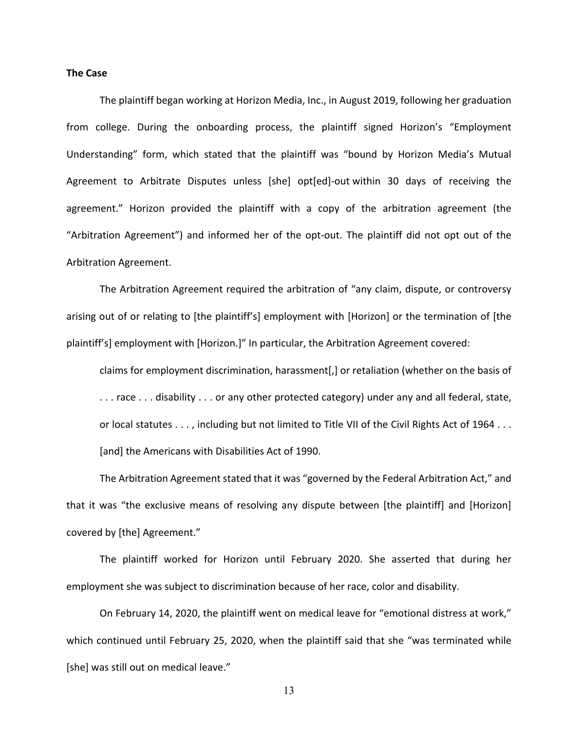#### **The Case**

The plaintiff began working at Horizon Media, Inc., in August 2019, following her graduation from college. During the onboarding process, the plaintiff signed Horizon's "Employment Understanding" form, which stated that the plaintiff was "bound by Horizon Media's Mutual Agreement to Arbitrate Disputes unless [she] opt[ed]‐out within 30 days of receiving the agreement." Horizon provided the plaintiff with a copy of the arbitration agreement (the "Arbitration Agreement") and informed her of the opt‐out. The plaintiff did not opt out of the Arbitration Agreement.

The Arbitration Agreement required the arbitration of "any claim, dispute, or controversy arising out of or relating to [the plaintiff's] employment with [Horizon] or the termination of [the plaintiff's] employment with [Horizon.]" In particular, the Arbitration Agreement covered:

claims for employment discrimination, harassment[,] or retaliation (whether on the basis of ... race ... disability ... or any other protected category) under any and all federal, state, or local statutes . . . , including but not limited to Title VII of the Civil Rights Act of 1964 . . . [and] the Americans with Disabilities Act of 1990.

The Arbitration Agreement stated that it was "governed by the Federal Arbitration Act," and that it was "the exclusive means of resolving any dispute between [the plaintiff] and [Horizon] covered by [the] Agreement."

The plaintiff worked for Horizon until February 2020. She asserted that during her employment she was subject to discrimination because of her race, color and disability.

On February 14, 2020, the plaintiff went on medical leave for "emotional distress at work," which continued until February 25, 2020, when the plaintiff said that she "was terminated while [she] was still out on medical leave."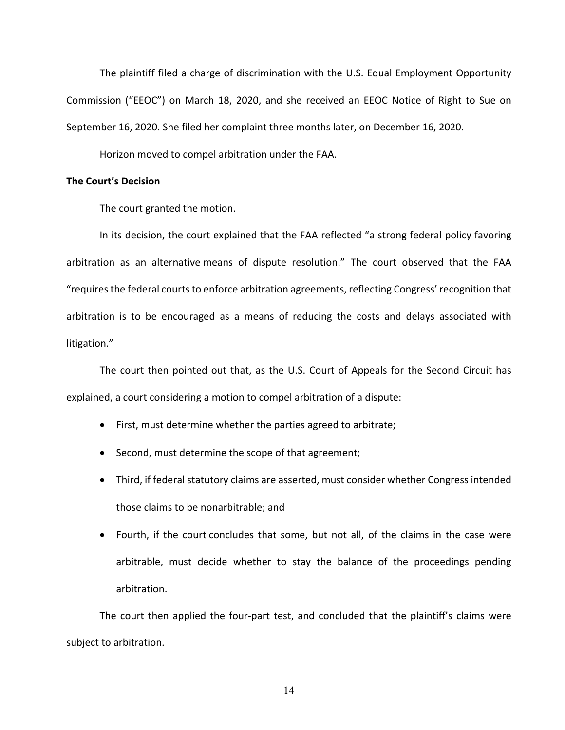The plaintiff filed a charge of discrimination with the U.S. Equal Employment Opportunity Commission ("EEOC") on March 18, 2020, and she received an EEOC Notice of Right to Sue on September 16, 2020. She filed her complaint three months later, on December 16, 2020.

Horizon moved to compel arbitration under the FAA.

#### **The Court's Decision**

The court granted the motion.

In its decision, the court explained that the FAA reflected "a strong federal policy favoring arbitration as an alternative means of dispute resolution." The court observed that the FAA "requires the federal courts to enforce arbitration agreements, reflecting Congress' recognition that arbitration is to be encouraged as a means of reducing the costs and delays associated with litigation."

The court then pointed out that, as the U.S. Court of Appeals for the Second Circuit has explained, a court considering a motion to compel arbitration of a dispute:

- First, must determine whether the parties agreed to arbitrate;
- Second, must determine the scope of that agreement;
- Third, if federal statutory claims are asserted, must consider whether Congress intended those claims to be nonarbitrable; and
- Fourth, if the court concludes that some, but not all, of the claims in the case were arbitrable, must decide whether to stay the balance of the proceedings pending arbitration.

The court then applied the four‐part test, and concluded that the plaintiff's claims were subject to arbitration.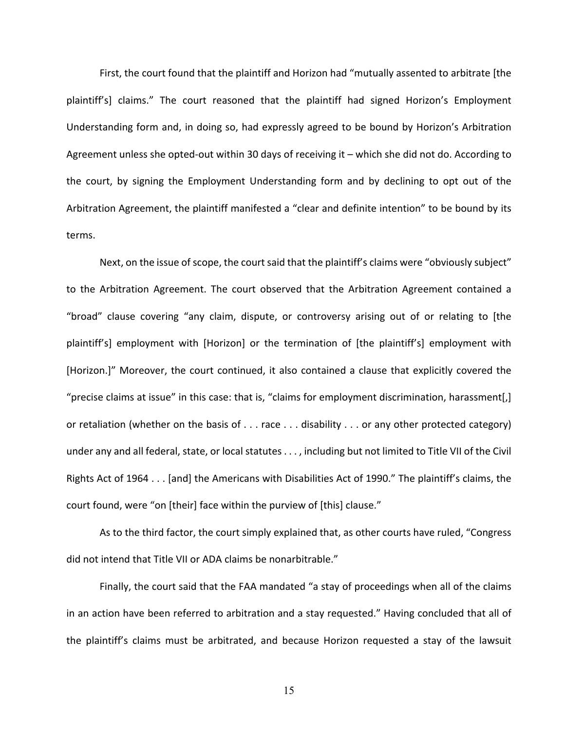First, the court found that the plaintiff and Horizon had "mutually assented to arbitrate [the plaintiff's] claims." The court reasoned that the plaintiff had signed Horizon's Employment Understanding form and, in doing so, had expressly agreed to be bound by Horizon's Arbitration Agreement unless she opted‐out within 30 days of receiving it – which she did not do. According to the court, by signing the Employment Understanding form and by declining to opt out of the Arbitration Agreement, the plaintiff manifested a "clear and definite intention" to be bound by its terms.

Next, on the issue of scope, the court said that the plaintiff's claims were "obviously subject" to the Arbitration Agreement. The court observed that the Arbitration Agreement contained a "broad" clause covering "any claim, dispute, or controversy arising out of or relating to [the plaintiff's] employment with [Horizon] or the termination of [the plaintiff's] employment with [Horizon.]" Moreover, the court continued, it also contained a clause that explicitly covered the "precise claims at issue" in this case: that is, "claims for employment discrimination, harassment[,] or retaliation (whether on the basis of . . . race . . . disability . . . or any other protected category) under any and all federal, state, or local statutes . . . , including but not limited to Title VII of the Civil Rights Act of 1964 . . . [and] the Americans with Disabilities Act of 1990." The plaintiff's claims, the court found, were "on [their] face within the purview of [this] clause."

As to the third factor, the court simply explained that, as other courts have ruled, "Congress did not intend that Title VII or ADA claims be nonarbitrable."

Finally, the court said that the FAA mandated "a stay of proceedings when all of the claims in an action have been referred to arbitration and a stay requested." Having concluded that all of the plaintiff's claims must be arbitrated, and because Horizon requested a stay of the lawsuit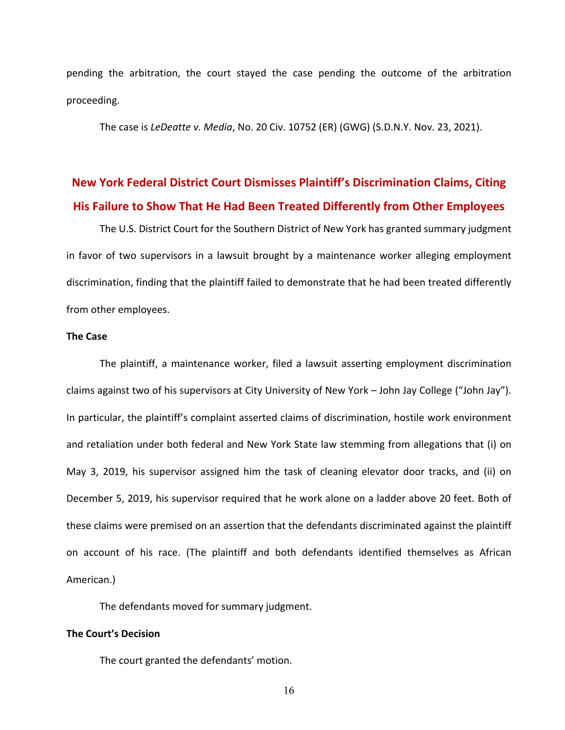pending the arbitration, the court stayed the case pending the outcome of the arbitration proceeding.

The case is *LeDeatte v. Media*, No. 20 Civ. 10752 (ER) (GWG) (S.D.N.Y. Nov. 23, 2021).

# **New York Federal District Court Dismisses Plaintiff's Discrimination Claims, Citing His Failure to Show That He Had Been Treated Differently from Other Employees**

The U.S. District Court for the Southern District of New York has granted summary judgment in favor of two supervisors in a lawsuit brought by a maintenance worker alleging employment discrimination, finding that the plaintiff failed to demonstrate that he had been treated differently from other employees.

#### **The Case**

The plaintiff, a maintenance worker, filed a lawsuit asserting employment discrimination claims against two of his supervisors at City University of New York – John Jay College ("John Jay"). In particular, the plaintiff's complaint asserted claims of discrimination, hostile work environment and retaliation under both federal and New York State law stemming from allegations that (i) on May 3, 2019, his supervisor assigned him the task of cleaning elevator door tracks, and (ii) on December 5, 2019, his supervisor required that he work alone on a ladder above 20 feet. Both of these claims were premised on an assertion that the defendants discriminated against the plaintiff on account of his race. (The plaintiff and both defendants identified themselves as African American.)

The defendants moved for summary judgment.

### **The Court's Decision**

The court granted the defendants' motion.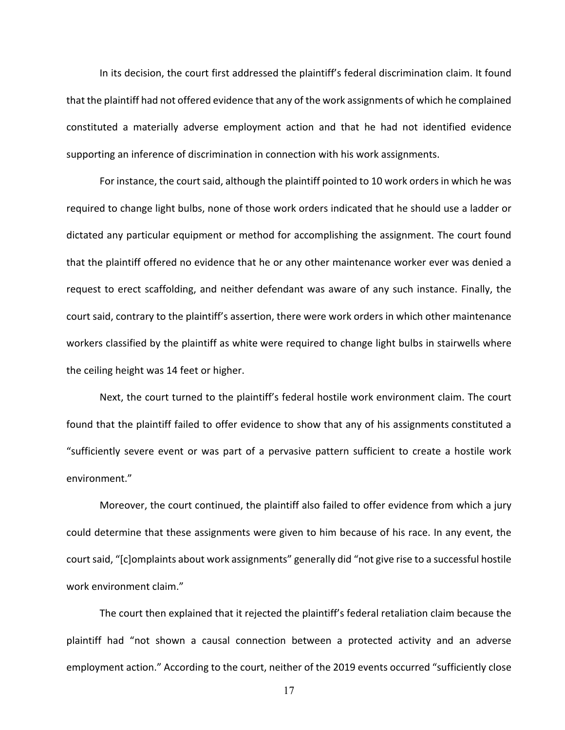In its decision, the court first addressed the plaintiff's federal discrimination claim. It found that the plaintiff had not offered evidence that any of the work assignments of which he complained constituted a materially adverse employment action and that he had not identified evidence supporting an inference of discrimination in connection with his work assignments.

For instance, the court said, although the plaintiff pointed to 10 work orders in which he was required to change light bulbs, none of those work orders indicated that he should use a ladder or dictated any particular equipment or method for accomplishing the assignment. The court found that the plaintiff offered no evidence that he or any other maintenance worker ever was denied a request to erect scaffolding, and neither defendant was aware of any such instance. Finally, the court said, contrary to the plaintiff's assertion, there were work orders in which other maintenance workers classified by the plaintiff as white were required to change light bulbs in stairwells where the ceiling height was 14 feet or higher.

Next, the court turned to the plaintiff's federal hostile work environment claim. The court found that the plaintiff failed to offer evidence to show that any of his assignments constituted a "sufficiently severe event or was part of a pervasive pattern sufficient to create a hostile work environment."

Moreover, the court continued, the plaintiff also failed to offer evidence from which a jury could determine that these assignments were given to him because of his race. In any event, the court said, "[c]omplaints about work assignments" generally did "not give rise to a successful hostile work environment claim."

The court then explained that it rejected the plaintiff's federal retaliation claim because the plaintiff had "not shown a causal connection between a protected activity and an adverse employment action." According to the court, neither of the 2019 events occurred "sufficiently close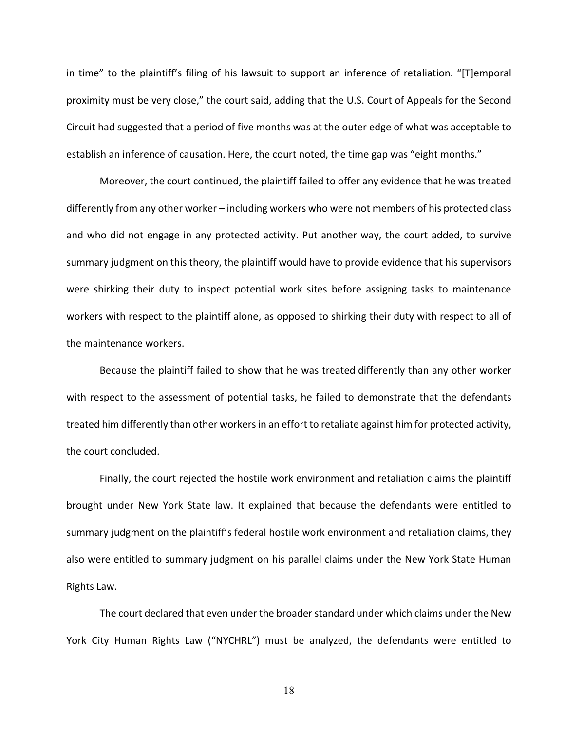in time" to the plaintiff's filing of his lawsuit to support an inference of retaliation. "[T]emporal proximity must be very close," the court said, adding that the U.S. Court of Appeals for the Second Circuit had suggested that a period of five months was at the outer edge of what was acceptable to establish an inference of causation. Here, the court noted, the time gap was "eight months."

Moreover, the court continued, the plaintiff failed to offer any evidence that he was treated differently from any other worker – including workers who were not members of his protected class and who did not engage in any protected activity. Put another way, the court added, to survive summary judgment on this theory, the plaintiff would have to provide evidence that his supervisors were shirking their duty to inspect potential work sites before assigning tasks to maintenance workers with respect to the plaintiff alone, as opposed to shirking their duty with respect to all of the maintenance workers.

Because the plaintiff failed to show that he was treated differently than any other worker with respect to the assessment of potential tasks, he failed to demonstrate that the defendants treated him differently than other workersin an effort to retaliate against him for protected activity, the court concluded.

Finally, the court rejected the hostile work environment and retaliation claims the plaintiff brought under New York State law. It explained that because the defendants were entitled to summary judgment on the plaintiff's federal hostile work environment and retaliation claims, they also were entitled to summary judgment on his parallel claims under the New York State Human Rights Law.

The court declared that even under the broader standard under which claims under the New York City Human Rights Law ("NYCHRL") must be analyzed, the defendants were entitled to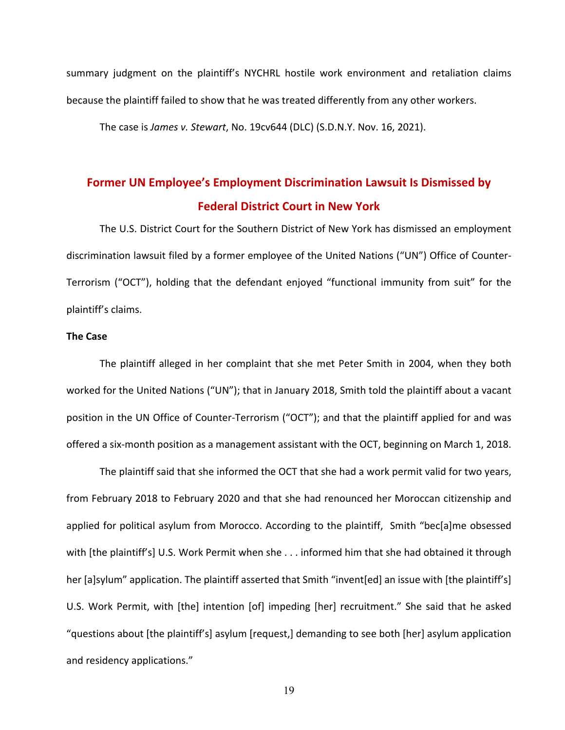summary judgment on the plaintiff's NYCHRL hostile work environment and retaliation claims because the plaintiff failed to show that he was treated differently from any other workers.

The case is *James v. Stewart*, No. 19cv644 (DLC) (S.D.N.Y. Nov. 16, 2021).

# **Former UN Employee's Employment Discrimination Lawsuit Is Dismissed by Federal District Court in New York**

The U.S. District Court for the Southern District of New York has dismissed an employment discrimination lawsuit filed by a former employee of the United Nations ("UN") Office of Counter‐ Terrorism ("OCT"), holding that the defendant enjoyed "functional immunity from suit" for the plaintiff's claims.

### **The Case**

The plaintiff alleged in her complaint that she met Peter Smith in 2004, when they both worked for the United Nations ("UN"); that in January 2018, Smith told the plaintiff about a vacant position in the UN Office of Counter‐Terrorism ("OCT"); and that the plaintiff applied for and was offered a six‐month position as a management assistant with the OCT, beginning on March 1, 2018.

The plaintiff said that she informed the OCT that she had a work permit valid for two years, from February 2018 to February 2020 and that she had renounced her Moroccan citizenship and applied for political asylum from Morocco. According to the plaintiff, Smith "bec[a]me obsessed with [the plaintiff's] U.S. Work Permit when she . . . informed him that she had obtained it through her [a]sylum" application. The plaintiff asserted that Smith "invent[ed] an issue with [the plaintiff's] U.S. Work Permit, with [the] intention [of] impeding [her] recruitment." She said that he asked "questions about [the plaintiff's] asylum [request,] demanding to see both [her] asylum application and residency applications."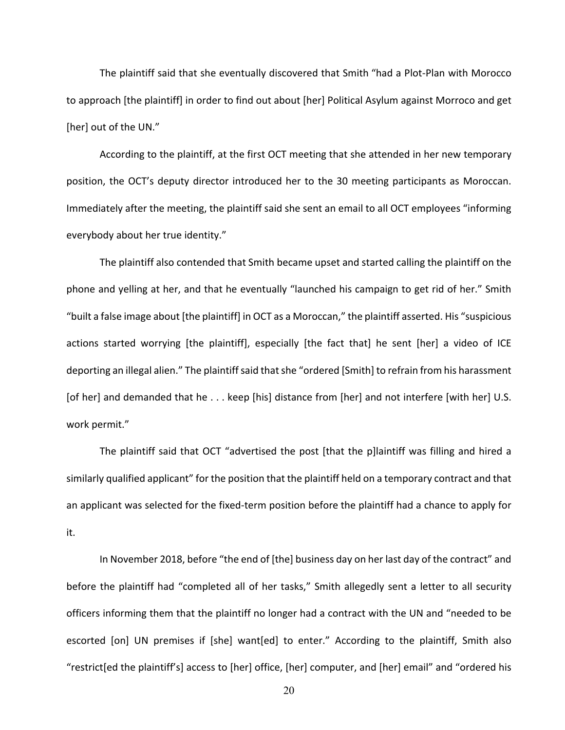The plaintiff said that she eventually discovered that Smith "had a Plot‐Plan with Morocco to approach [the plaintiff] in order to find out about [her] Political Asylum against Morroco and get [her] out of the UN."

According to the plaintiff, at the first OCT meeting that she attended in her new temporary position, the OCT's deputy director introduced her to the 30 meeting participants as Moroccan. Immediately after the meeting, the plaintiff said she sent an email to all OCT employees "informing everybody about her true identity."

The plaintiff also contended that Smith became upset and started calling the plaintiff on the phone and yelling at her, and that he eventually "launched his campaign to get rid of her." Smith "built a false image about [the plaintiff] in OCT as a Moroccan," the plaintiff asserted. His "suspicious actions started worrying [the plaintiff], especially [the fact that] he sent [her] a video of ICE deporting an illegal alien." The plaintiff said that she "ordered [Smith] to refrain from his harassment [of her] and demanded that he . . . keep [his] distance from [her] and not interfere [with her] U.S. work permit."

The plaintiff said that OCT "advertised the post [that the p]laintiff was filling and hired a similarly qualified applicant" for the position that the plaintiff held on a temporary contract and that an applicant was selected for the fixed-term position before the plaintiff had a chance to apply for it.

In November 2018, before "the end of [the] business day on her last day of the contract" and before the plaintiff had "completed all of her tasks," Smith allegedly sent a letter to all security officers informing them that the plaintiff no longer had a contract with the UN and "needed to be escorted [on] UN premises if [she] want[ed] to enter." According to the plaintiff, Smith also "restrict[ed the plaintiff's] access to [her] office, [her] computer, and [her] email" and "ordered his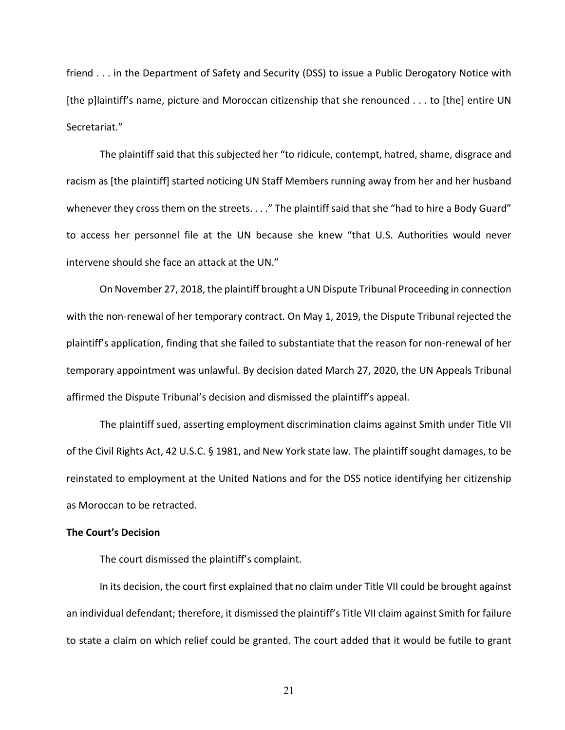friend . . . in the Department of Safety and Security (DSS) to issue a Public Derogatory Notice with [the p]laintiff's name, picture and Moroccan citizenship that she renounced . . . to [the] entire UN Secretariat."

The plaintiff said that this subjected her "to ridicule, contempt, hatred, shame, disgrace and racism as [the plaintiff] started noticing UN Staff Members running away from her and her husband whenever they cross them on the streets. . . ." The plaintiff said that she "had to hire a Body Guard" to access her personnel file at the UN because she knew "that U.S. Authorities would never intervene should she face an attack at the UN."

On November 27, 2018, the plaintiff brought a UN Dispute Tribunal Proceeding in connection with the non-renewal of her temporary contract. On May 1, 2019, the Dispute Tribunal rejected the plaintiff's application, finding that she failed to substantiate that the reason for non‐renewal of her temporary appointment was unlawful. By decision dated March 27, 2020, the UN Appeals Tribunal affirmed the Dispute Tribunal's decision and dismissed the plaintiff's appeal.

The plaintiff sued, asserting employment discrimination claims against Smith under Title VII of the Civil Rights Act, 42 U.S.C. § 1981, and New York state law. The plaintiff sought damages, to be reinstated to employment at the United Nations and for the DSS notice identifying her citizenship as Moroccan to be retracted.

### **The Court's Decision**

The court dismissed the plaintiff's complaint.

In its decision, the court first explained that no claim under Title VII could be brought against an individual defendant; therefore, it dismissed the plaintiff's Title VII claim against Smith for failure to state a claim on which relief could be granted. The court added that it would be futile to grant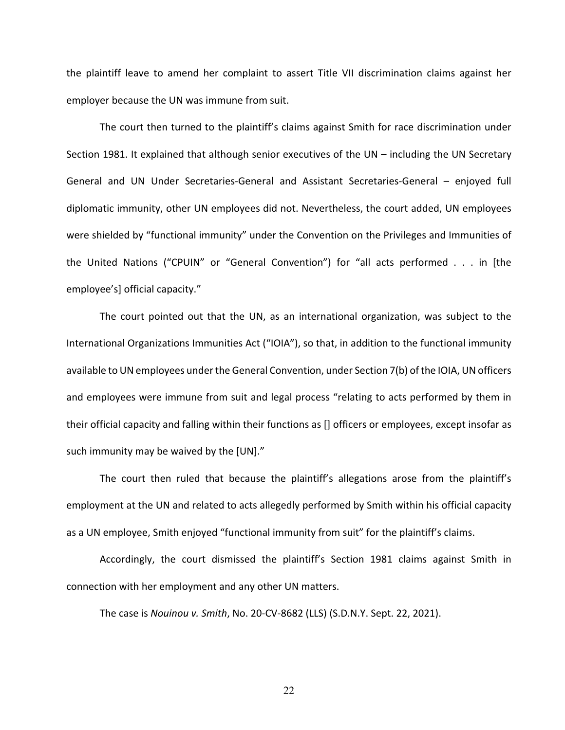the plaintiff leave to amend her complaint to assert Title VII discrimination claims against her employer because the UN was immune from suit.

The court then turned to the plaintiff's claims against Smith for race discrimination under Section 1981. It explained that although senior executives of the UN – including the UN Secretary General and UN Under Secretaries‐General and Assistant Secretaries‐General – enjoyed full diplomatic immunity, other UN employees did not. Nevertheless, the court added, UN employees were shielded by "functional immunity" under the Convention on the Privileges and Immunities of the United Nations ("CPUIN" or "General Convention") for "all acts performed . . . in [the employee's] official capacity."

The court pointed out that the UN, as an international organization, was subject to the International Organizations Immunities Act ("IOIA"), so that, in addition to the functional immunity available to UN employees under the General Convention, under Section 7(b) of the IOIA, UN officers and employees were immune from suit and legal process "relating to acts performed by them in their official capacity and falling within their functions as [] officers or employees, except insofar as such immunity may be waived by the [UN]."

The court then ruled that because the plaintiff's allegations arose from the plaintiff's employment at the UN and related to acts allegedly performed by Smith within his official capacity as a UN employee, Smith enjoyed "functional immunity from suit" for the plaintiff's claims.

Accordingly, the court dismissed the plaintiff's Section 1981 claims against Smith in connection with her employment and any other UN matters.

The case is *Nouinou v. Smith*, No. 20‐CV‐8682 (LLS) (S.D.N.Y. Sept. 22, 2021).